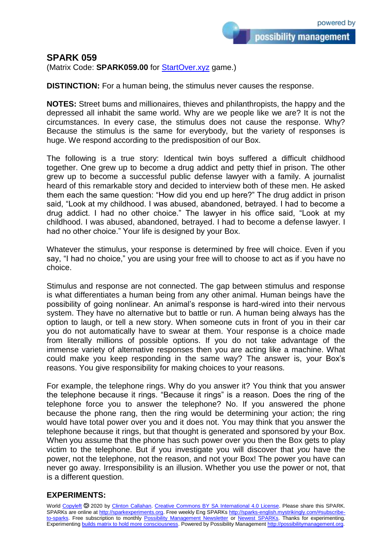possibility management

## **SPARK 059**

(Matrix Code: **SPARK059.00** for [StartOver.xyz](https://startoverxyz.mystrikingly.com/) game.)

**DISTINCTION:** For a human being, the stimulus never causes the response.

**NOTES:** Street bums and millionaires, thieves and philanthropists, the happy and the depressed all inhabit the same world. Why are we people like we are? It is not the circumstances. In every case, the stimulus does not cause the response. Why? Because the stimulus is the same for everybody, but the variety of responses is huge. We respond according to the predisposition of our Box.

The following is a true story: Identical twin boys suffered a difficult childhood together. One grew up to become a drug addict and petty thief in prison. The other grew up to become a successful public defense lawyer with a family. A journalist heard of this remarkable story and decided to interview both of these men. He asked them each the same question: "How did you end up here?" The drug addict in prison said, "Look at my childhood. I was abused, abandoned, betrayed. I had to become a drug addict. I had no other choice." The lawyer in his office said, "Look at my childhood. I was abused, abandoned, betrayed. I had to become a defense lawyer. I had no other choice." Your life is designed by your Box.

Whatever the stimulus, your response is determined by free will choice. Even if you say, "I had no choice," you are using your free will to choose to act as if you have no choice.

Stimulus and response are not connected. The gap between stimulus and response is what differentiates a human being from any other animal. Human beings have the possibility of going nonlinear. An animal's response is hard-wired into their nervous system. They have no alternative but to battle or run. A human being always has the option to laugh, or tell a new story. When someone cuts in front of you in their car you do not automatically have to swear at them. Your response is a choice made from literally millions of possible options. If you do not take advantage of the immense variety of alternative responses then you are acting like a machine. What could make you keep responding in the same way? The answer is, your Box's reasons. You give responsibility for making choices to your reasons.

For example, the telephone rings. Why do you answer it? You think that you answer the telephone because it rings. "Because it rings" is a reason. Does the ring of the telephone force you to answer the telephone? No. If you answered the phone because the phone rang, then the ring would be determining your action; the ring would have total power over you and it does not. You may think that you answer the telephone because it rings, but that thought is generated and sponsored by your Box. When you assume that the phone has such power over you then the Box gets to play victim to the telephone. But if you investigate you will discover that *you* have the power, not the telephone, not the reason, and not your Box! The power you have can never go away. Irresponsibility is an illusion. Whether you use the power or not, that is a different question.

## **EXPERIMENTS:**

World [Copyleft](https://en.wikipedia.org/wiki/Copyleft) <sup>5</sup> 2020 by [Clinton Callahan.](http://clintoncallahan.mystrikingly.com/) [Creative Commons BY SA International 4.0 License.](https://creativecommons.org/licenses/by-sa/4.0/) Please share this SPARK. SPARKs are online at [http://sparkexperiments.org.](http://sparks-english.mystrikingly.com/) Free weekly Eng SPARKs [http://sparks-english.mystrikingly.com/#subscribe](http://sparks-english.mystrikingly.com/#subscribe-to-sparks)[to-sparks.](http://sparks-english.mystrikingly.com/#subscribe-to-sparks) Free subscription to monthly [Possibility Management Newsletter](https://possibilitymanagement.org/news/) or [Newest SPARKs.](https://www.clintoncallahan.org/newsletter-1) Thanks for experimenting. Experimentin[g builds matrix to hold more consciousness.](http://spaceport.mystrikingly.com/) Powered by Possibility Managemen[t http://possibilitymanagement.org.](http://possibilitymanagement.org/)